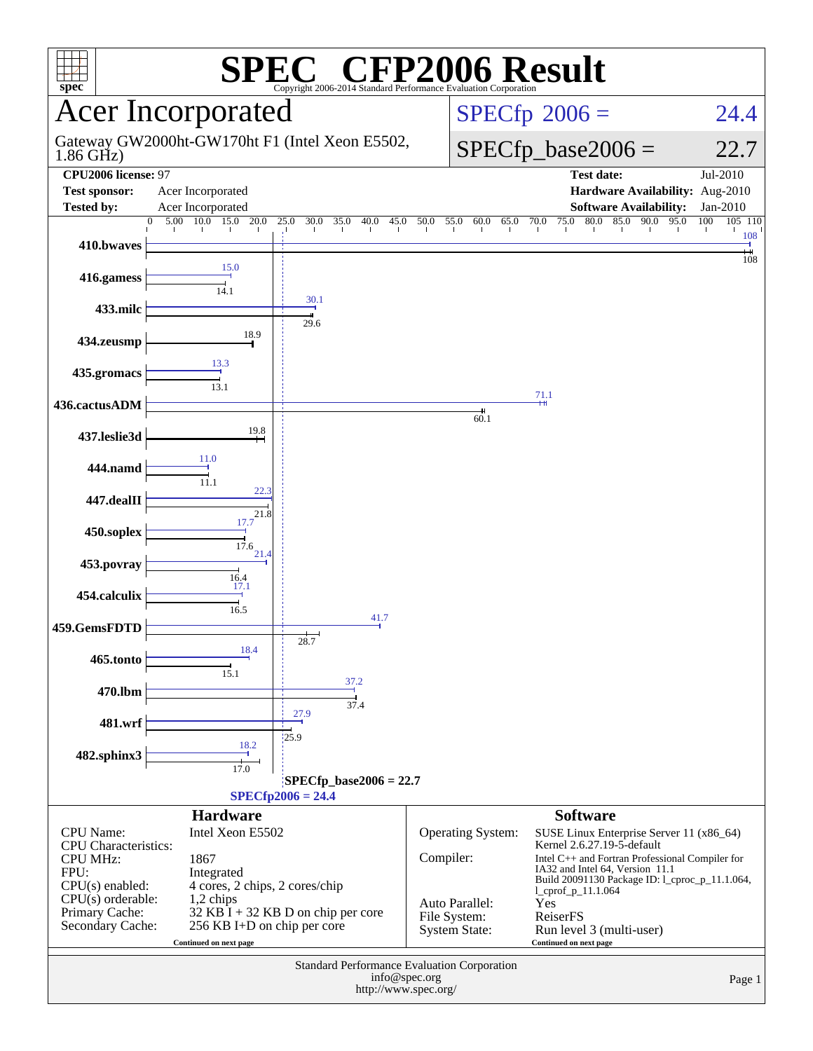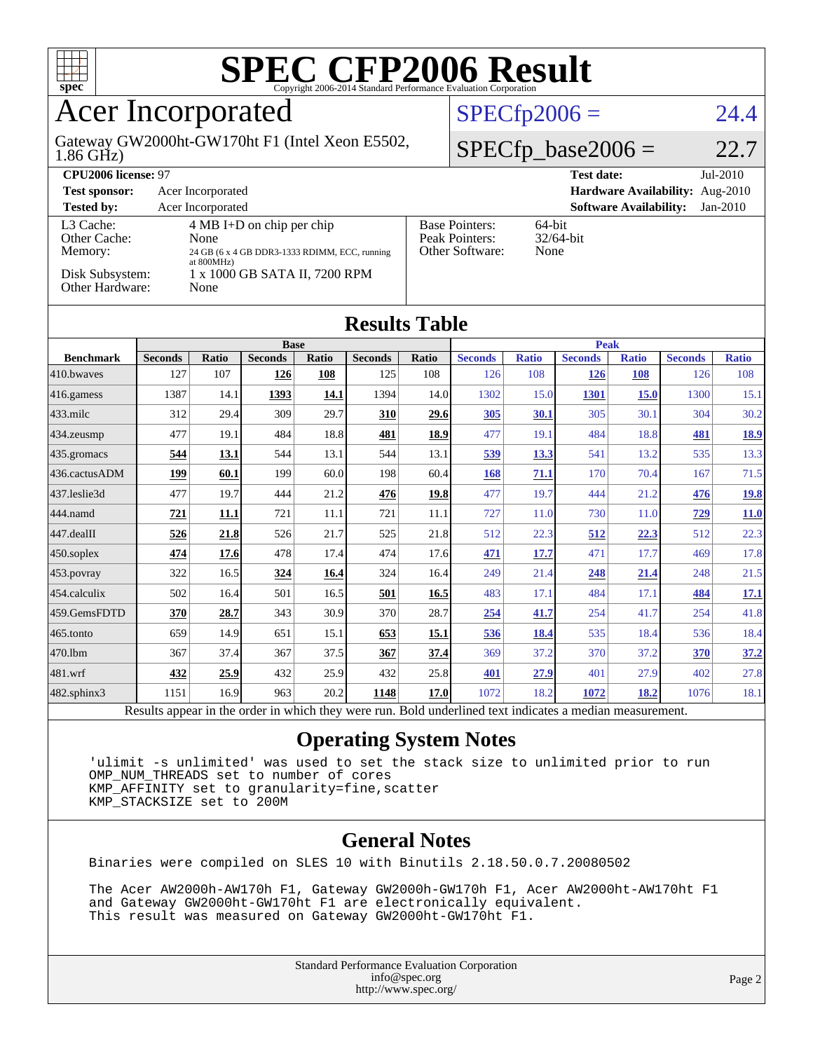

### Acer Incorporated

1.86 GHz) Gateway GW2000ht-GW170ht F1 (Intel Xeon E5502,

#### $SPECfp2006 = 24.4$  $SPECfp2006 = 24.4$

#### $SPECfp\_base2006 = 22.7$

| CPU <sub>2006</sub> license: 97                         |                                                                                                                                                |                                                            | $Jul-2010$<br><b>Test date:</b>             |
|---------------------------------------------------------|------------------------------------------------------------------------------------------------------------------------------------------------|------------------------------------------------------------|---------------------------------------------|
| <b>Test sponsor:</b>                                    | Acer Incorporated                                                                                                                              |                                                            | Hardware Availability: Aug-2010             |
| <b>Tested by:</b>                                       | Acer Incorporated                                                                                                                              |                                                            | <b>Software Availability:</b><br>$Jan-2010$ |
| L3 Cache:<br>Other Cache:<br>Memory:<br>Disk Subsystem: | $4 \text{ MB I+D}$ on chip per chip<br>None<br>24 GB (6 x 4 GB DDR3-1333 RDIMM, ECC, running<br>at $800MHz$ )<br>1 x 1000 GB SATA II, 7200 RPM | <b>Base Pointers:</b><br>Peak Pointers:<br>Other Software: | $64$ -bit<br>$32/64$ -bit<br>None           |
| Other Hardware:                                         | None                                                                                                                                           |                                                            |                                             |

| <b>Results Table</b> |                |              |                |       |                |              |                |              |                |              |                |              |
|----------------------|----------------|--------------|----------------|-------|----------------|--------------|----------------|--------------|----------------|--------------|----------------|--------------|
|                      | <b>Base</b>    |              |                |       | <b>Peak</b>    |              |                |              |                |              |                |              |
| <b>Benchmark</b>     | <b>Seconds</b> | <b>Ratio</b> | <b>Seconds</b> | Ratio | <b>Seconds</b> | <b>Ratio</b> | <b>Seconds</b> | <b>Ratio</b> | <b>Seconds</b> | <b>Ratio</b> | <b>Seconds</b> | <b>Ratio</b> |
| 410.bwayes           | 127            | 107          | 126            | 108   | 125            | 108          | 126            | 108          | <u>126</u>     | 108          | 126            | 108          |
| 416.gamess           | 1387           | 14.1         | 1393           | 14.1  | 1394           | 14.0         | 1302           | 15.0         | 1301           | 15.0         | 1300           | 15.1         |
| $433$ .milc          | 312            | 29.4         | 309            | 29.7  | 310            | 29.6         | 305            | 30.1         | 305            | 30.1         | 304            | 30.2         |
| 434.zeusmp           | 477            | 19.1         | 484            | 18.8  | 481            | 18.9         | 477            | 19.1         | 484            | 18.8         | 481            | <u>18.9</u>  |
| 435.gromacs          | 544            | <u>13.1</u>  | 544            | 13.1  | 544            | 13.1         | 539            | <u>13.3</u>  | 541            | 13.2         | 535            | 13.3         |
| 436.cactusADM        | 199            | 60.1         | 199            | 60.0  | 198            | 60.4         | <b>168</b>     | 71.1         | 170            | 70.4         | 167            | 71.5         |
| 437.leslie3d         | 477            | 19.7         | 444            | 21.2  | 476            | 19.8         | 477            | 19.7         | 444            | 21.2         | 476            | <u>19.8</u>  |
| 444.namd             | 721            | <b>11.1</b>  | 721            | 11.1  | 721            | 11.1         | 727            | 11.0         | 730            | 11.0         | <u>729</u>     | 11.0         |
| 447.dealII           | 526            | 21.8         | 526            | 21.7  | 525            | 21.8         | 512            | 22.3         | 512            | 22.3         | 512            | 22.3         |
| 450.soplex           | 474            | 17.6         | 478            | 17.4  | 474            | 17.6         | 471            | 17.7         | 471            | 17.7         | 469            | 17.8         |
| 453.povray           | 322            | 16.5         | 324            | 16.4  | 324            | 16.4         | 249            | 21.4         | 248            | 21.4         | 248            | 21.5         |
| 454.calculix         | 502            | 16.4         | 501            | 16.5  | 501            | 16.5         | 483            | 17.1         | 484            | 17.1         | 484            | 17.1         |
| 459.GemsFDTD         | 370            | 28.7         | 343            | 30.9  | 370            | 28.7         | <u>254</u>     | 41.7         | 254            | 41.7         | 254            | 41.8         |
| 465.tonto            | 659            | 14.9         | 651            | 15.1  | 653            | 15.1         | 536            | 18.4         | 535            | 18.4         | 536            | 18.4         |
| 470.1bm              | 367            | 37.4         | 367            | 37.5  | 367            | 37.4         | 369            | 37.2         | 370            | 37.2         | 370            | 37.2         |
| 481.wrf              | 432            | 25.9         | 432            | 25.9  | 432            | 25.8         | 401            | 27.9         | 401            | 27.9         | 402            | 27.8         |
| 482.sphinx3          | 1151           | 16.9         | 963            | 20.2  | 1148           | 17.0         | 1072           | 18.2         | 1072           | 18.2         | 1076           | 18.1         |

Results appear in the [order in which they were run.](http://www.spec.org/auto/cpu2006/Docs/result-fields.html#RunOrder) Bold underlined text [indicates a median measurement.](http://www.spec.org/auto/cpu2006/Docs/result-fields.html#Median)

#### **[Operating System Notes](http://www.spec.org/auto/cpu2006/Docs/result-fields.html#OperatingSystemNotes)**

 'ulimit -s unlimited' was used to set the stack size to unlimited prior to run OMP\_NUM\_THREADS set to number of cores KMP\_AFFINITY set to granularity=fine,scatter KMP\_STACKSIZE set to 200M

#### **[General Notes](http://www.spec.org/auto/cpu2006/Docs/result-fields.html#GeneralNotes)**

Binaries were compiled on SLES 10 with Binutils 2.18.50.0.7.20080502

 The Acer AW2000h-AW170h F1, Gateway GW2000h-GW170h F1, Acer AW2000ht-AW170ht F1 and Gateway GW2000ht-GW170ht F1 are electronically equivalent. This result was measured on Gateway GW2000ht-GW170ht F1.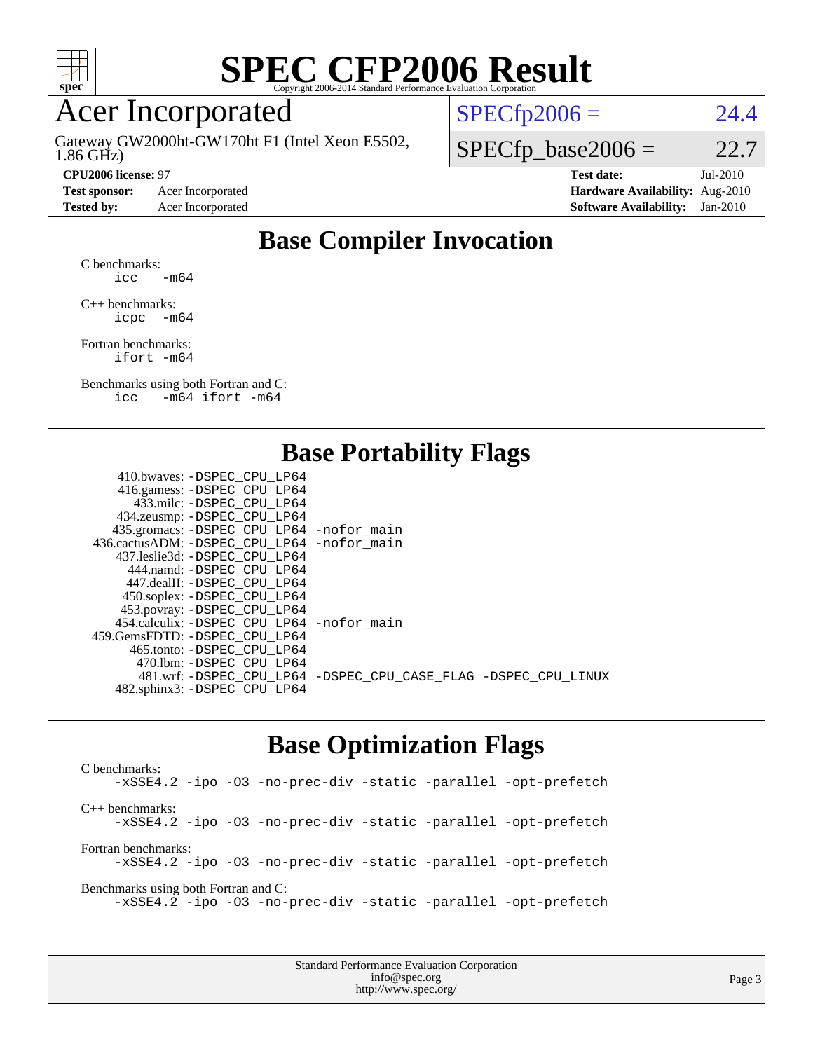

### Acer Incorporated

1.86 GHz) Gateway GW2000ht-GW170ht F1 (Intel Xeon E5502,

**[Test sponsor:](http://www.spec.org/auto/cpu2006/Docs/result-fields.html#Testsponsor)** Acer Incorporated **[Hardware Availability:](http://www.spec.org/auto/cpu2006/Docs/result-fields.html#HardwareAvailability)** Aug-2010

 $SPECTp2006 = 24.4$ 

 $SPECTp\_base2006 = 22.7$ 

**[CPU2006 license:](http://www.spec.org/auto/cpu2006/Docs/result-fields.html#CPU2006license)** 97 **[Test date:](http://www.spec.org/auto/cpu2006/Docs/result-fields.html#Testdate)** Jul-2010 **[Tested by:](http://www.spec.org/auto/cpu2006/Docs/result-fields.html#Testedby)** Acer Incorporated **[Software Availability:](http://www.spec.org/auto/cpu2006/Docs/result-fields.html#SoftwareAvailability)** Jan-2010

#### **[Base Compiler Invocation](http://www.spec.org/auto/cpu2006/Docs/result-fields.html#BaseCompilerInvocation)**

[C benchmarks](http://www.spec.org/auto/cpu2006/Docs/result-fields.html#Cbenchmarks): icc  $-m64$ 

[C++ benchmarks:](http://www.spec.org/auto/cpu2006/Docs/result-fields.html#CXXbenchmarks) [icpc -m64](http://www.spec.org/cpu2006/results/res2010q3/cpu2006-20100802-12810.flags.html#user_CXXbase_intel_icpc_64bit_bedb90c1146cab66620883ef4f41a67e)

[Fortran benchmarks](http://www.spec.org/auto/cpu2006/Docs/result-fields.html#Fortranbenchmarks): [ifort -m64](http://www.spec.org/cpu2006/results/res2010q3/cpu2006-20100802-12810.flags.html#user_FCbase_intel_ifort_64bit_ee9d0fb25645d0210d97eb0527dcc06e)

[Benchmarks using both Fortran and C](http://www.spec.org/auto/cpu2006/Docs/result-fields.html#BenchmarksusingbothFortranandC): [icc -m64](http://www.spec.org/cpu2006/results/res2010q3/cpu2006-20100802-12810.flags.html#user_CC_FCbase_intel_icc_64bit_0b7121f5ab7cfabee23d88897260401c) [ifort -m64](http://www.spec.org/cpu2006/results/res2010q3/cpu2006-20100802-12810.flags.html#user_CC_FCbase_intel_ifort_64bit_ee9d0fb25645d0210d97eb0527dcc06e)

#### **[Base Portability Flags](http://www.spec.org/auto/cpu2006/Docs/result-fields.html#BasePortabilityFlags)**

| 433.milc: -DSPEC CPU LP64<br>434.zeusmp: -DSPEC_CPU_LP64<br>435.gromacs: -DSPEC_CPU_LP64 -nofor_main<br>436.cactusADM: - DSPEC CPU LP64 - nofor main<br>437.leslie3d: -DSPEC CPU LP64<br>444.namd: - DSPEC CPU LP64<br>447.dealII: -DSPEC CPU LP64<br>450.soplex: -DSPEC_CPU_LP64<br>453.povray: -DSPEC_CPU_LP64<br>454.calculix: - DSPEC CPU LP64 - nofor main<br>465.tonto: - DSPEC_CPU LP64<br>470.1bm: -DSPEC CPU LP64<br>481.wrf: -DSPEC_CPU_LP64 -DSPEC_CPU_CASE_FLAG -DSPEC_CPU_LINUX | 410.bwaves: -DSPEC CPU LP64    |  |
|----------------------------------------------------------------------------------------------------------------------------------------------------------------------------------------------------------------------------------------------------------------------------------------------------------------------------------------------------------------------------------------------------------------------------------------------------------------------------------------------|--------------------------------|--|
|                                                                                                                                                                                                                                                                                                                                                                                                                                                                                              | 416.gamess: -DSPEC_CPU_LP64    |  |
|                                                                                                                                                                                                                                                                                                                                                                                                                                                                                              |                                |  |
|                                                                                                                                                                                                                                                                                                                                                                                                                                                                                              |                                |  |
|                                                                                                                                                                                                                                                                                                                                                                                                                                                                                              |                                |  |
|                                                                                                                                                                                                                                                                                                                                                                                                                                                                                              |                                |  |
|                                                                                                                                                                                                                                                                                                                                                                                                                                                                                              |                                |  |
|                                                                                                                                                                                                                                                                                                                                                                                                                                                                                              |                                |  |
|                                                                                                                                                                                                                                                                                                                                                                                                                                                                                              |                                |  |
|                                                                                                                                                                                                                                                                                                                                                                                                                                                                                              |                                |  |
|                                                                                                                                                                                                                                                                                                                                                                                                                                                                                              |                                |  |
|                                                                                                                                                                                                                                                                                                                                                                                                                                                                                              |                                |  |
|                                                                                                                                                                                                                                                                                                                                                                                                                                                                                              | 459.GemsFDTD: - DSPEC_CPU LP64 |  |
|                                                                                                                                                                                                                                                                                                                                                                                                                                                                                              |                                |  |
|                                                                                                                                                                                                                                                                                                                                                                                                                                                                                              |                                |  |
|                                                                                                                                                                                                                                                                                                                                                                                                                                                                                              |                                |  |
|                                                                                                                                                                                                                                                                                                                                                                                                                                                                                              | 482.sphinx3: -DSPEC_CPU_LP64   |  |

#### **[Base Optimization Flags](http://www.spec.org/auto/cpu2006/Docs/result-fields.html#BaseOptimizationFlags)**

[C benchmarks](http://www.spec.org/auto/cpu2006/Docs/result-fields.html#Cbenchmarks): [-xSSE4.2](http://www.spec.org/cpu2006/results/res2010q3/cpu2006-20100802-12810.flags.html#user_CCbase_f-xSSE42_f91528193cf0b216347adb8b939d4107) [-ipo](http://www.spec.org/cpu2006/results/res2010q3/cpu2006-20100802-12810.flags.html#user_CCbase_f-ipo) [-O3](http://www.spec.org/cpu2006/results/res2010q3/cpu2006-20100802-12810.flags.html#user_CCbase_f-O3) [-no-prec-div](http://www.spec.org/cpu2006/results/res2010q3/cpu2006-20100802-12810.flags.html#user_CCbase_f-no-prec-div) [-static](http://www.spec.org/cpu2006/results/res2010q3/cpu2006-20100802-12810.flags.html#user_CCbase_f-static) [-parallel](http://www.spec.org/cpu2006/results/res2010q3/cpu2006-20100802-12810.flags.html#user_CCbase_f-parallel) [-opt-prefetch](http://www.spec.org/cpu2006/results/res2010q3/cpu2006-20100802-12810.flags.html#user_CCbase_f-opt-prefetch) [C++ benchmarks:](http://www.spec.org/auto/cpu2006/Docs/result-fields.html#CXXbenchmarks) [-xSSE4.2](http://www.spec.org/cpu2006/results/res2010q3/cpu2006-20100802-12810.flags.html#user_CXXbase_f-xSSE42_f91528193cf0b216347adb8b939d4107) [-ipo](http://www.spec.org/cpu2006/results/res2010q3/cpu2006-20100802-12810.flags.html#user_CXXbase_f-ipo) [-O3](http://www.spec.org/cpu2006/results/res2010q3/cpu2006-20100802-12810.flags.html#user_CXXbase_f-O3) [-no-prec-div](http://www.spec.org/cpu2006/results/res2010q3/cpu2006-20100802-12810.flags.html#user_CXXbase_f-no-prec-div) [-static](http://www.spec.org/cpu2006/results/res2010q3/cpu2006-20100802-12810.flags.html#user_CXXbase_f-static) [-parallel](http://www.spec.org/cpu2006/results/res2010q3/cpu2006-20100802-12810.flags.html#user_CXXbase_f-parallel) [-opt-prefetch](http://www.spec.org/cpu2006/results/res2010q3/cpu2006-20100802-12810.flags.html#user_CXXbase_f-opt-prefetch) [Fortran benchmarks](http://www.spec.org/auto/cpu2006/Docs/result-fields.html#Fortranbenchmarks): [-xSSE4.2](http://www.spec.org/cpu2006/results/res2010q3/cpu2006-20100802-12810.flags.html#user_FCbase_f-xSSE42_f91528193cf0b216347adb8b939d4107) [-ipo](http://www.spec.org/cpu2006/results/res2010q3/cpu2006-20100802-12810.flags.html#user_FCbase_f-ipo) [-O3](http://www.spec.org/cpu2006/results/res2010q3/cpu2006-20100802-12810.flags.html#user_FCbase_f-O3) [-no-prec-div](http://www.spec.org/cpu2006/results/res2010q3/cpu2006-20100802-12810.flags.html#user_FCbase_f-no-prec-div) [-static](http://www.spec.org/cpu2006/results/res2010q3/cpu2006-20100802-12810.flags.html#user_FCbase_f-static) [-parallel](http://www.spec.org/cpu2006/results/res2010q3/cpu2006-20100802-12810.flags.html#user_FCbase_f-parallel) [-opt-prefetch](http://www.spec.org/cpu2006/results/res2010q3/cpu2006-20100802-12810.flags.html#user_FCbase_f-opt-prefetch) [Benchmarks using both Fortran and C](http://www.spec.org/auto/cpu2006/Docs/result-fields.html#BenchmarksusingbothFortranandC): [-xSSE4.2](http://www.spec.org/cpu2006/results/res2010q3/cpu2006-20100802-12810.flags.html#user_CC_FCbase_f-xSSE42_f91528193cf0b216347adb8b939d4107) [-ipo](http://www.spec.org/cpu2006/results/res2010q3/cpu2006-20100802-12810.flags.html#user_CC_FCbase_f-ipo) [-O3](http://www.spec.org/cpu2006/results/res2010q3/cpu2006-20100802-12810.flags.html#user_CC_FCbase_f-O3) [-no-prec-div](http://www.spec.org/cpu2006/results/res2010q3/cpu2006-20100802-12810.flags.html#user_CC_FCbase_f-no-prec-div) [-static](http://www.spec.org/cpu2006/results/res2010q3/cpu2006-20100802-12810.flags.html#user_CC_FCbase_f-static) [-parallel](http://www.spec.org/cpu2006/results/res2010q3/cpu2006-20100802-12810.flags.html#user_CC_FCbase_f-parallel) [-opt-prefetch](http://www.spec.org/cpu2006/results/res2010q3/cpu2006-20100802-12810.flags.html#user_CC_FCbase_f-opt-prefetch)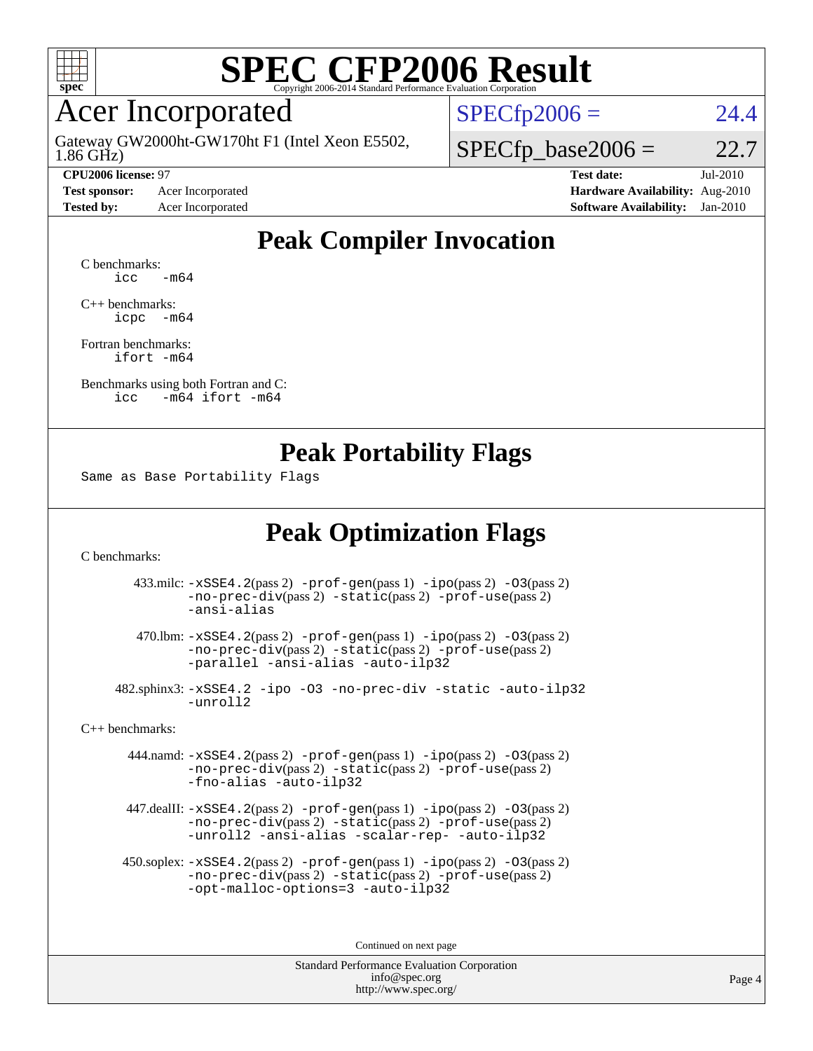

### Acer Incorporated

1.86 GHz) Gateway GW2000ht-GW170ht F1 (Intel Xeon E5502,

**[Test sponsor:](http://www.spec.org/auto/cpu2006/Docs/result-fields.html#Testsponsor)** Acer Incorporated **[Hardware Availability:](http://www.spec.org/auto/cpu2006/Docs/result-fields.html#HardwareAvailability)** Aug-2010

 $SPECfp2006 = 24.4$  $SPECfp2006 = 24.4$ 

 $SPECTp\_base2006 = 22.7$ 

**[CPU2006 license:](http://www.spec.org/auto/cpu2006/Docs/result-fields.html#CPU2006license)** 97 **[Test date:](http://www.spec.org/auto/cpu2006/Docs/result-fields.html#Testdate)** Jul-2010 **[Tested by:](http://www.spec.org/auto/cpu2006/Docs/result-fields.html#Testedby)** Acer Incorporated **[Software Availability:](http://www.spec.org/auto/cpu2006/Docs/result-fields.html#SoftwareAvailability)** Jan-2010

#### **[Peak Compiler Invocation](http://www.spec.org/auto/cpu2006/Docs/result-fields.html#PeakCompilerInvocation)**

[C benchmarks](http://www.spec.org/auto/cpu2006/Docs/result-fields.html#Cbenchmarks):  $\text{icc}$   $-\text{m64}$ 

[C++ benchmarks:](http://www.spec.org/auto/cpu2006/Docs/result-fields.html#CXXbenchmarks) [icpc -m64](http://www.spec.org/cpu2006/results/res2010q3/cpu2006-20100802-12810.flags.html#user_CXXpeak_intel_icpc_64bit_bedb90c1146cab66620883ef4f41a67e)

[Fortran benchmarks](http://www.spec.org/auto/cpu2006/Docs/result-fields.html#Fortranbenchmarks): [ifort -m64](http://www.spec.org/cpu2006/results/res2010q3/cpu2006-20100802-12810.flags.html#user_FCpeak_intel_ifort_64bit_ee9d0fb25645d0210d97eb0527dcc06e)

[Benchmarks using both Fortran and C](http://www.spec.org/auto/cpu2006/Docs/result-fields.html#BenchmarksusingbothFortranandC): [icc -m64](http://www.spec.org/cpu2006/results/res2010q3/cpu2006-20100802-12810.flags.html#user_CC_FCpeak_intel_icc_64bit_0b7121f5ab7cfabee23d88897260401c) [ifort -m64](http://www.spec.org/cpu2006/results/res2010q3/cpu2006-20100802-12810.flags.html#user_CC_FCpeak_intel_ifort_64bit_ee9d0fb25645d0210d97eb0527dcc06e)

#### **[Peak Portability Flags](http://www.spec.org/auto/cpu2006/Docs/result-fields.html#PeakPortabilityFlags)**

Same as Base Portability Flags

### **[Peak Optimization Flags](http://www.spec.org/auto/cpu2006/Docs/result-fields.html#PeakOptimizationFlags)**

[C benchmarks](http://www.spec.org/auto/cpu2006/Docs/result-fields.html#Cbenchmarks):

 433.milc: [-xSSE4.2](http://www.spec.org/cpu2006/results/res2010q3/cpu2006-20100802-12810.flags.html#user_peakPASS2_CFLAGSPASS2_LDFLAGS433_milc_f-xSSE42_f91528193cf0b216347adb8b939d4107)(pass 2) [-prof-gen](http://www.spec.org/cpu2006/results/res2010q3/cpu2006-20100802-12810.flags.html#user_peakPASS1_CFLAGSPASS1_LDFLAGS433_milc_prof_gen_e43856698f6ca7b7e442dfd80e94a8fc)(pass 1) [-ipo](http://www.spec.org/cpu2006/results/res2010q3/cpu2006-20100802-12810.flags.html#user_peakPASS2_CFLAGSPASS2_LDFLAGS433_milc_f-ipo)(pass 2) [-O3](http://www.spec.org/cpu2006/results/res2010q3/cpu2006-20100802-12810.flags.html#user_peakPASS2_CFLAGSPASS2_LDFLAGS433_milc_f-O3)(pass 2) [-no-prec-div](http://www.spec.org/cpu2006/results/res2010q3/cpu2006-20100802-12810.flags.html#user_peakPASS2_CFLAGSPASS2_LDFLAGS433_milc_f-no-prec-div)(pass 2) [-static](http://www.spec.org/cpu2006/results/res2010q3/cpu2006-20100802-12810.flags.html#user_peakPASS2_CFLAGSPASS2_LDFLAGS433_milc_f-static)(pass 2) [-prof-use](http://www.spec.org/cpu2006/results/res2010q3/cpu2006-20100802-12810.flags.html#user_peakPASS2_CFLAGSPASS2_LDFLAGS433_milc_prof_use_bccf7792157ff70d64e32fe3e1250b55)(pass 2) [-ansi-alias](http://www.spec.org/cpu2006/results/res2010q3/cpu2006-20100802-12810.flags.html#user_peakOPTIMIZE433_milc_f-ansi-alias)

 470.lbm: [-xSSE4.2](http://www.spec.org/cpu2006/results/res2010q3/cpu2006-20100802-12810.flags.html#user_peakPASS2_CFLAGSPASS2_LDFLAGS470_lbm_f-xSSE42_f91528193cf0b216347adb8b939d4107)(pass 2) [-prof-gen](http://www.spec.org/cpu2006/results/res2010q3/cpu2006-20100802-12810.flags.html#user_peakPASS1_CFLAGSPASS1_LDFLAGS470_lbm_prof_gen_e43856698f6ca7b7e442dfd80e94a8fc)(pass 1) [-ipo](http://www.spec.org/cpu2006/results/res2010q3/cpu2006-20100802-12810.flags.html#user_peakPASS2_CFLAGSPASS2_LDFLAGS470_lbm_f-ipo)(pass 2) [-O3](http://www.spec.org/cpu2006/results/res2010q3/cpu2006-20100802-12810.flags.html#user_peakPASS2_CFLAGSPASS2_LDFLAGS470_lbm_f-O3)(pass 2) [-no-prec-div](http://www.spec.org/cpu2006/results/res2010q3/cpu2006-20100802-12810.flags.html#user_peakPASS2_CFLAGSPASS2_LDFLAGS470_lbm_f-no-prec-div)(pass 2) [-static](http://www.spec.org/cpu2006/results/res2010q3/cpu2006-20100802-12810.flags.html#user_peakPASS2_CFLAGSPASS2_LDFLAGS470_lbm_f-static)(pass 2) [-prof-use](http://www.spec.org/cpu2006/results/res2010q3/cpu2006-20100802-12810.flags.html#user_peakPASS2_CFLAGSPASS2_LDFLAGS470_lbm_prof_use_bccf7792157ff70d64e32fe3e1250b55)(pass 2) [-parallel](http://www.spec.org/cpu2006/results/res2010q3/cpu2006-20100802-12810.flags.html#user_peakOPTIMIZE470_lbm_f-parallel) [-ansi-alias](http://www.spec.org/cpu2006/results/res2010q3/cpu2006-20100802-12810.flags.html#user_peakOPTIMIZE470_lbm_f-ansi-alias) [-auto-ilp32](http://www.spec.org/cpu2006/results/res2010q3/cpu2006-20100802-12810.flags.html#user_peakCOPTIMIZE470_lbm_f-auto-ilp32)

 482.sphinx3: [-xSSE4.2](http://www.spec.org/cpu2006/results/res2010q3/cpu2006-20100802-12810.flags.html#user_peakOPTIMIZE482_sphinx3_f-xSSE42_f91528193cf0b216347adb8b939d4107) [-ipo](http://www.spec.org/cpu2006/results/res2010q3/cpu2006-20100802-12810.flags.html#user_peakOPTIMIZE482_sphinx3_f-ipo) [-O3](http://www.spec.org/cpu2006/results/res2010q3/cpu2006-20100802-12810.flags.html#user_peakOPTIMIZE482_sphinx3_f-O3) [-no-prec-div](http://www.spec.org/cpu2006/results/res2010q3/cpu2006-20100802-12810.flags.html#user_peakOPTIMIZE482_sphinx3_f-no-prec-div) [-static](http://www.spec.org/cpu2006/results/res2010q3/cpu2006-20100802-12810.flags.html#user_peakOPTIMIZE482_sphinx3_f-static) [-auto-ilp32](http://www.spec.org/cpu2006/results/res2010q3/cpu2006-20100802-12810.flags.html#user_peakCOPTIMIZE482_sphinx3_f-auto-ilp32) [-unroll2](http://www.spec.org/cpu2006/results/res2010q3/cpu2006-20100802-12810.flags.html#user_peakCOPTIMIZE482_sphinx3_f-unroll_784dae83bebfb236979b41d2422d7ec2)

[C++ benchmarks:](http://www.spec.org/auto/cpu2006/Docs/result-fields.html#CXXbenchmarks)

 444.namd: [-xSSE4.2](http://www.spec.org/cpu2006/results/res2010q3/cpu2006-20100802-12810.flags.html#user_peakPASS2_CXXFLAGSPASS2_LDFLAGS444_namd_f-xSSE42_f91528193cf0b216347adb8b939d4107)(pass 2) [-prof-gen](http://www.spec.org/cpu2006/results/res2010q3/cpu2006-20100802-12810.flags.html#user_peakPASS1_CXXFLAGSPASS1_LDFLAGS444_namd_prof_gen_e43856698f6ca7b7e442dfd80e94a8fc)(pass 1) [-ipo](http://www.spec.org/cpu2006/results/res2010q3/cpu2006-20100802-12810.flags.html#user_peakPASS2_CXXFLAGSPASS2_LDFLAGS444_namd_f-ipo)(pass 2) [-O3](http://www.spec.org/cpu2006/results/res2010q3/cpu2006-20100802-12810.flags.html#user_peakPASS2_CXXFLAGSPASS2_LDFLAGS444_namd_f-O3)(pass 2) [-no-prec-div](http://www.spec.org/cpu2006/results/res2010q3/cpu2006-20100802-12810.flags.html#user_peakPASS2_CXXFLAGSPASS2_LDFLAGS444_namd_f-no-prec-div)(pass 2) [-static](http://www.spec.org/cpu2006/results/res2010q3/cpu2006-20100802-12810.flags.html#user_peakPASS2_CXXFLAGSPASS2_LDFLAGS444_namd_f-static)(pass 2) [-prof-use](http://www.spec.org/cpu2006/results/res2010q3/cpu2006-20100802-12810.flags.html#user_peakPASS2_CXXFLAGSPASS2_LDFLAGS444_namd_prof_use_bccf7792157ff70d64e32fe3e1250b55)(pass 2) [-fno-alias](http://www.spec.org/cpu2006/results/res2010q3/cpu2006-20100802-12810.flags.html#user_peakOPTIMIZE444_namd_f-no-alias_694e77f6c5a51e658e82ccff53a9e63a) [-auto-ilp32](http://www.spec.org/cpu2006/results/res2010q3/cpu2006-20100802-12810.flags.html#user_peakCXXOPTIMIZE444_namd_f-auto-ilp32)

 447.dealII: [-xSSE4.2](http://www.spec.org/cpu2006/results/res2010q3/cpu2006-20100802-12810.flags.html#user_peakPASS2_CXXFLAGSPASS2_LDFLAGS447_dealII_f-xSSE42_f91528193cf0b216347adb8b939d4107)(pass 2) [-prof-gen](http://www.spec.org/cpu2006/results/res2010q3/cpu2006-20100802-12810.flags.html#user_peakPASS1_CXXFLAGSPASS1_LDFLAGS447_dealII_prof_gen_e43856698f6ca7b7e442dfd80e94a8fc)(pass 1) [-ipo](http://www.spec.org/cpu2006/results/res2010q3/cpu2006-20100802-12810.flags.html#user_peakPASS2_CXXFLAGSPASS2_LDFLAGS447_dealII_f-ipo)(pass 2) [-O3](http://www.spec.org/cpu2006/results/res2010q3/cpu2006-20100802-12810.flags.html#user_peakPASS2_CXXFLAGSPASS2_LDFLAGS447_dealII_f-O3)(pass 2) [-no-prec-div](http://www.spec.org/cpu2006/results/res2010q3/cpu2006-20100802-12810.flags.html#user_peakPASS2_CXXFLAGSPASS2_LDFLAGS447_dealII_f-no-prec-div)(pass 2) [-static](http://www.spec.org/cpu2006/results/res2010q3/cpu2006-20100802-12810.flags.html#user_peakPASS2_CXXFLAGSPASS2_LDFLAGS447_dealII_f-static)(pass 2) [-prof-use](http://www.spec.org/cpu2006/results/res2010q3/cpu2006-20100802-12810.flags.html#user_peakPASS2_CXXFLAGSPASS2_LDFLAGS447_dealII_prof_use_bccf7792157ff70d64e32fe3e1250b55)(pass 2) [-unroll2](http://www.spec.org/cpu2006/results/res2010q3/cpu2006-20100802-12810.flags.html#user_peakOPTIMIZE447_dealII_f-unroll_784dae83bebfb236979b41d2422d7ec2) [-ansi-alias](http://www.spec.org/cpu2006/results/res2010q3/cpu2006-20100802-12810.flags.html#user_peakOPTIMIZE447_dealII_f-ansi-alias) [-scalar-rep-](http://www.spec.org/cpu2006/results/res2010q3/cpu2006-20100802-12810.flags.html#user_peakOPTIMIZE447_dealII_f-disablescalarrep_abbcad04450fb118e4809c81d83c8a1d) [-auto-ilp32](http://www.spec.org/cpu2006/results/res2010q3/cpu2006-20100802-12810.flags.html#user_peakCXXOPTIMIZE447_dealII_f-auto-ilp32)

 450.soplex: [-xSSE4.2](http://www.spec.org/cpu2006/results/res2010q3/cpu2006-20100802-12810.flags.html#user_peakPASS2_CXXFLAGSPASS2_LDFLAGS450_soplex_f-xSSE42_f91528193cf0b216347adb8b939d4107)(pass 2) [-prof-gen](http://www.spec.org/cpu2006/results/res2010q3/cpu2006-20100802-12810.flags.html#user_peakPASS1_CXXFLAGSPASS1_LDFLAGS450_soplex_prof_gen_e43856698f6ca7b7e442dfd80e94a8fc)(pass 1) [-ipo](http://www.spec.org/cpu2006/results/res2010q3/cpu2006-20100802-12810.flags.html#user_peakPASS2_CXXFLAGSPASS2_LDFLAGS450_soplex_f-ipo)(pass 2) [-O3](http://www.spec.org/cpu2006/results/res2010q3/cpu2006-20100802-12810.flags.html#user_peakPASS2_CXXFLAGSPASS2_LDFLAGS450_soplex_f-O3)(pass 2) [-no-prec-div](http://www.spec.org/cpu2006/results/res2010q3/cpu2006-20100802-12810.flags.html#user_peakPASS2_CXXFLAGSPASS2_LDFLAGS450_soplex_f-no-prec-div)(pass 2) [-static](http://www.spec.org/cpu2006/results/res2010q3/cpu2006-20100802-12810.flags.html#user_peakPASS2_CXXFLAGSPASS2_LDFLAGS450_soplex_f-static)(pass 2) [-prof-use](http://www.spec.org/cpu2006/results/res2010q3/cpu2006-20100802-12810.flags.html#user_peakPASS2_CXXFLAGSPASS2_LDFLAGS450_soplex_prof_use_bccf7792157ff70d64e32fe3e1250b55)(pass 2) [-opt-malloc-options=3](http://www.spec.org/cpu2006/results/res2010q3/cpu2006-20100802-12810.flags.html#user_peakOPTIMIZE450_soplex_f-opt-malloc-options_13ab9b803cf986b4ee62f0a5998c2238) [-auto-ilp32](http://www.spec.org/cpu2006/results/res2010q3/cpu2006-20100802-12810.flags.html#user_peakCXXOPTIMIZE450_soplex_f-auto-ilp32)

Continued on next page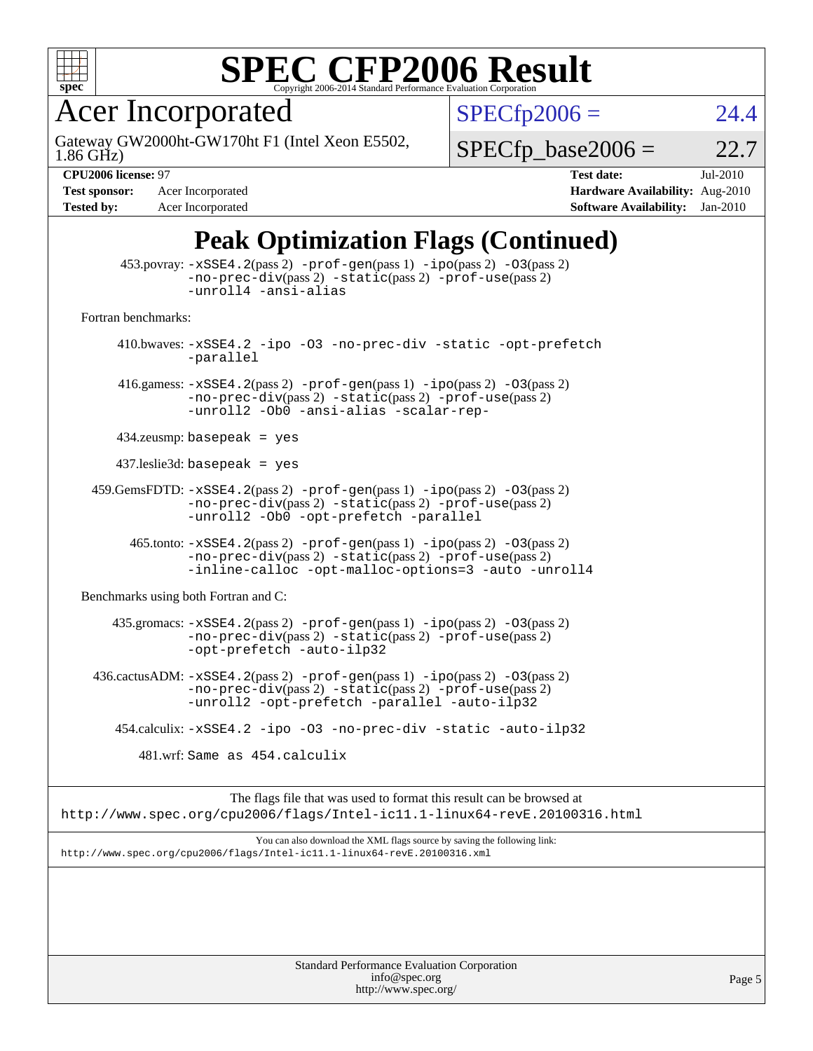

Acer Incorporated

1.86 GHz) Gateway GW2000ht-GW170ht F1 (Intel Xeon E5502,  $SPECfp2006 = 24.4$  $SPECfp2006 = 24.4$ 

 $SPECTp\_base2006 = 22.7$ 

**[Test sponsor:](http://www.spec.org/auto/cpu2006/Docs/result-fields.html#Testsponsor)** Acer Incorporated **[Hardware Availability:](http://www.spec.org/auto/cpu2006/Docs/result-fields.html#HardwareAvailability)** Aug-2010 **[Tested by:](http://www.spec.org/auto/cpu2006/Docs/result-fields.html#Testedby)** Acer Incorporated **[Software Availability:](http://www.spec.org/auto/cpu2006/Docs/result-fields.html#SoftwareAvailability)** Jan-2010

**[CPU2006 license:](http://www.spec.org/auto/cpu2006/Docs/result-fields.html#CPU2006license)** 97 **[Test date:](http://www.spec.org/auto/cpu2006/Docs/result-fields.html#Testdate)** Jul-2010

### **[Peak Optimization Flags \(Continued\)](http://www.spec.org/auto/cpu2006/Docs/result-fields.html#PeakOptimizationFlags)**

|                                      | Standard Performance Evaluation Corporation<br>info@spec.org                                                                                                                              | Page 5 |
|--------------------------------------|-------------------------------------------------------------------------------------------------------------------------------------------------------------------------------------------|--------|
|                                      |                                                                                                                                                                                           |        |
|                                      | http://www.spec.org/cpu2006/flags/Intel-ic11.1-linux64-revE.20100316.xml                                                                                                                  |        |
|                                      | You can also download the XML flags source by saving the following link:                                                                                                                  |        |
|                                      | The flags file that was used to format this result can be browsed at<br>http://www.spec.org/cpu2006/flags/Intel-ic11.1-linux64-revE.20100316.html                                         |        |
|                                      | 481.wrf: Same as 454.calculix                                                                                                                                                             |        |
|                                      | 454.calculix: -xSSE4.2 -ipo -03 -no-prec-div -static -auto-ilp32                                                                                                                          |        |
|                                      | 436.cactusADM: -xSSE4.2(pass 2) -prof-gen(pass 1) -ipo(pass 2) -03(pass 2)<br>$-no-prec-div(pass 2) -static(pass 2) -prof-use(pass 2)$<br>-unroll2 -opt-prefetch -parallel -auto-ilp32    |        |
|                                      | 435.gromacs: -xSSE4.2(pass 2) -prof-gen(pass 1) -ipo(pass 2) -03(pass 2)<br>$-no-prec-div(pass 2) -static(pass 2) -prof-use(pass 2)$<br>-opt-prefetch -auto-ilp32                         |        |
| Benchmarks using both Fortran and C: |                                                                                                                                                                                           |        |
|                                      | 465.tonto: -xSSE4.2(pass 2) -prof-gen(pass 1) -ipo(pass 2) -03(pass 2)<br>$-no-prec-div(pass 2) -static(pass 2) -prof-use(pass 2)$<br>-inline-calloc -opt-malloc-options=3 -auto -unroll4 |        |
|                                      | 459.GemsFDTD: -xSSE4.2(pass 2) -prof-gen(pass 1) -ipo(pass 2) -03(pass 2)<br>$-no-prec-div(pass 2) -static(pass 2) -prof-use(pass 2)$<br>-unroll2 -Ob0 -opt-prefetch -parallel            |        |
|                                      | $437$ .leslie3d: basepeak = yes                                                                                                                                                           |        |
|                                      | $434$ .zeusmp: basepeak = yes                                                                                                                                                             |        |
|                                      | 416.gamess: $-xSSE4$ . 2(pass 2) $-prof-gen(pass 1) -ipo(pass 2) -O3(pass 2)$<br>$-no-prec-div(pass 2) -static(pass 2) -prof-use(pass 2)$<br>-unroll2 -Ob0 -ansi-alias -scalar-rep-       |        |
|                                      | 410.bwaves: -xSSE4.2 -ipo -03 -no-prec-div -static -opt-prefetch<br>-parallel                                                                                                             |        |
| Fortran benchmarks:                  |                                                                                                                                                                                           |        |
|                                      | 453.povray: -xSSE4.2(pass 2) -prof-gen(pass 1) -ipo(pass 2) -03(pass 2)<br>-no-prec-div(pass 2) -static(pass 2) -prof-use(pass 2)<br>-unroll4 -ansi-alias                                 |        |

<http://www.spec.org/>